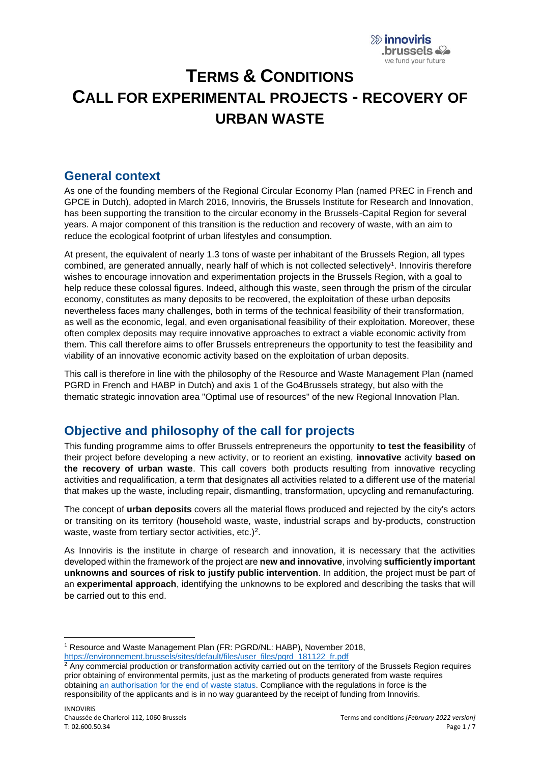

# **TERMS & CONDITIONS CALL FOR EXPERIMENTAL PROJECTS - RECOVERY OF URBAN WASTE**

### **General context**

As one of the founding members of the Regional Circular Economy Plan (named PREC in French and GPCE in Dutch), adopted in March 2016, Innoviris, the Brussels Institute for Research and Innovation, has been supporting the transition to the circular economy in the Brussels-Capital Region for several years. A major component of this transition is the reduction and recovery of waste, with an aim to reduce the ecological footprint of urban lifestyles and consumption.

At present, the equivalent of nearly 1.3 tons of waste per inhabitant of the Brussels Region, all types combined, are generated annually, nearly half of which is not collected selectively<sup>1</sup>. Innoviris therefore wishes to encourage innovation and experimentation projects in the Brussels Region, with a goal to help reduce these colossal figures. Indeed, although this waste, seen through the prism of the circular economy, constitutes as many deposits to be recovered, the exploitation of these urban deposits nevertheless faces many challenges, both in terms of the technical feasibility of their transformation, as well as the economic, legal, and even organisational feasibility of their exploitation. Moreover, these often complex deposits may require innovative approaches to extract a viable economic activity from them. This call therefore aims to offer Brussels entrepreneurs the opportunity to test the feasibility and viability of an innovative economic activity based on the exploitation of urban deposits.

This call is therefore in line with the philosophy of the Resource and Waste Management Plan (named PGRD in French and HABP in Dutch) and axis 1 of the Go4Brussels strategy, but also with the thematic strategic innovation area "Optimal use of resources" of the new Regional Innovation Plan.

# **Objective and philosophy of the call for projects**

This funding programme aims to offer Brussels entrepreneurs the opportunity **to test the feasibility** of their project before developing a new activity, or to reorient an existing, **innovative** activity **based on the recovery of urban waste**. This call covers both products resulting from innovative recycling activities and requalification, a term that designates all activities related to a different use of the material that makes up the waste, including repair, dismantling, transformation, upcycling and remanufacturing.

The concept of **urban deposits** covers all the material flows produced and rejected by the city's actors or transiting on its territory (household waste, waste, industrial scraps and by-products, construction waste, waste from tertiary sector activities, etc. $)^2$ .

As Innoviris is the institute in charge of research and innovation, it is necessary that the activities developed within the framework of the project are **new and innovative**, involving **sufficiently important unknowns and sources of risk to justify public intervention**. In addition, the project must be part of an **experimental approach**, identifying the unknowns to be explored and describing the tasks that will be carried out to this end.

<sup>1</sup> Resource and Waste Management Plan (FR: PGRD/NL: HABP), November 2018, [https://environnement.brussels/sites/default/files/user\\_files/pgrd\\_181122\\_fr.pdf](https://environnement.brussels/sites/default/files/user_files/pgrd_181122_fr.pdf)

<sup>&</sup>lt;sup>2</sup> Any commercial production or transformation activity carried out on the territory of the Brussels Region requires prior obtaining of environmental permits, just as the marketing of products generated from waste requires obtaining [an authorisation for the end of waste status.](https://environnement.brussels/thematiques/dechets-ressources/gestion-des-dechets/les-dechets-et-le-permis-denvironnement/fin-du-0) Compliance with the regulations in force is the responsibility of the applicants and is in no way guaranteed by the receipt of funding from Innoviris.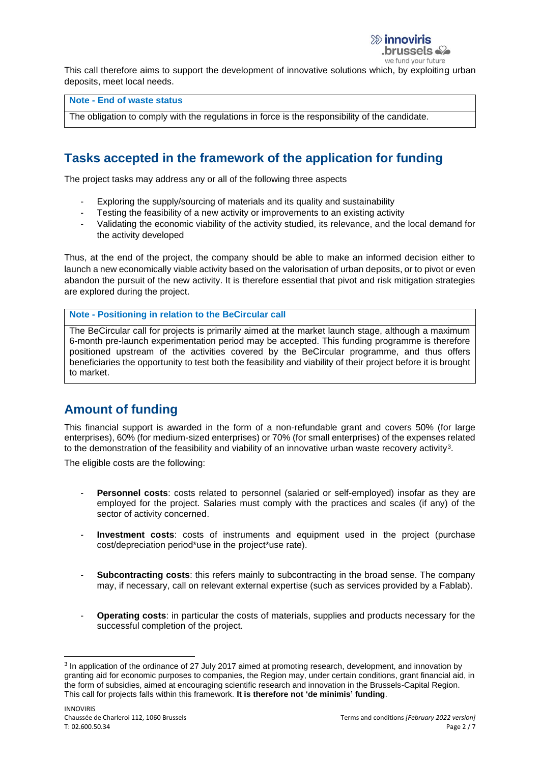we fund your future

This call therefore aims to support the development of innovative solutions which, by exploiting urban deposits, meet local needs.

### **Note - End of waste status**

The obligation to comply with the regulations in force is the responsibility of the candidate.

# **Tasks accepted in the framework of the application for funding**

The project tasks may address any or all of the following three aspects

- Exploring the supply/sourcing of materials and its quality and sustainability
- Testing the feasibility of a new activity or improvements to an existing activity
- Validating the economic viability of the activity studied, its relevance, and the local demand for the activity developed

Thus, at the end of the project, the company should be able to make an informed decision either to launch a new economically viable activity based on the valorisation of urban deposits, or to pivot or even abandon the pursuit of the new activity. It is therefore essential that pivot and risk mitigation strategies are explored during the project.

#### **Note - Positioning in relation to the BeCircular call**

The BeCircular call for projects is primarily aimed at the market launch stage, although a maximum 6-month pre-launch experimentation period may be accepted. This funding programme is therefore positioned upstream of the activities covered by the BeCircular programme, and thus offers beneficiaries the opportunity to test both the feasibility and viability of their project before it is brought to market.

# **Amount of funding**

This financial support is awarded in the form of a non-refundable grant and covers 50% (for large enterprises), 60% (for medium-sized enterprises) or 70% (for small enterprises) of the expenses related to the demonstration of the feasibility and viability of an innovative urban waste recovery activity<sup>3</sup>.

The eligible costs are the following:

- **Personnel costs**: costs related to personnel (salaried or self-employed) insofar as they are employed for the project. Salaries must comply with the practices and scales (if any) of the sector of activity concerned.
- **Investment costs**: costs of instruments and equipment used in the project (purchase cost/depreciation period\*use in the project\*use rate).
- **Subcontracting costs:** this refers mainly to subcontracting in the broad sense. The company may, if necessary, call on relevant external expertise (such as services provided by a Fablab).
- **Operating costs**: in particular the costs of materials, supplies and products necessary for the successful completion of the project.

<sup>&</sup>lt;sup>3</sup> In application of the ordinance of 27 July 2017 aimed at promoting research, development, and innovation by granting aid for economic purposes to companies, the Region may, under certain conditions, grant financial aid, in the form of subsidies, aimed at encouraging scientific research and innovation in the Brussels-Capital Region. This call for projects falls within this framework. **It is therefore not 'de minimis' funding**.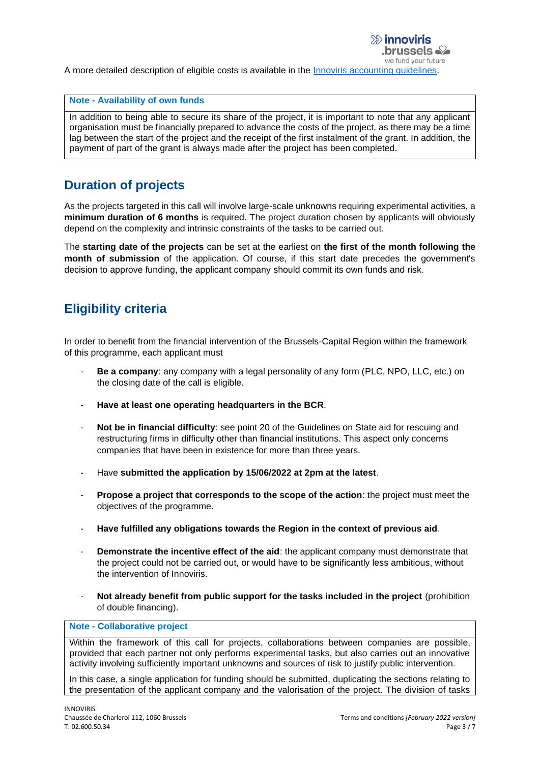A more detailed description of eligible costs is available in the [Innoviris accounting guidelines.](https://innoviris.brussels/documents/general-accounting-directives-2021)

#### **Note - Availability of own funds**

In addition to being able to secure its share of the project, it is important to note that any applicant organisation must be financially prepared to advance the costs of the project, as there may be a time lag between the start of the project and the receipt of the first instalment of the grant. In addition, the payment of part of the grant is always made after the project has been completed.

# **Duration of projects**

As the projects targeted in this call will involve large-scale unknowns requiring experimental activities, a **minimum duration of 6 months** is required. The project duration chosen by applicants will obviously depend on the complexity and intrinsic constraints of the tasks to be carried out.

The **starting date of the projects** can be set at the earliest on **the first of the month following the month of submission** of the application. Of course, if this start date precedes the government's decision to approve funding, the applicant company should commit its own funds and risk.

# **Eligibility criteria**

In order to benefit from the financial intervention of the Brussels-Capital Region within the framework of this programme, each applicant must

- **Be a company:** any company with a legal personality of any form (PLC, NPO, LLC, etc.) on the closing date of the call is eligible.
- **Have at least one operating headquarters in the BCR**.
- **Not be in financial difficulty**: see point 20 of the Guidelines on State aid for rescuing and restructuring firms in difficulty other than financial institutions. This aspect only concerns companies that have been in existence for more than three years.
- Have **submitted the application by 15/06/2022 at 2pm at the latest**.
- **Propose a project that corresponds to the scope of the action**: the project must meet the objectives of the programme.
- **Have fulfilled any obligations towards the Region in the context of previous aid**.
- **Demonstrate the incentive effect of the aid**: the applicant company must demonstrate that the project could not be carried out, or would have to be significantly less ambitious, without the intervention of Innoviris.
- **Not already benefit from public support for the tasks included in the project** (prohibition of double financing).

#### **Note - Collaborative project**

Within the framework of this call for projects, collaborations between companies are possible, provided that each partner not only performs experimental tasks, but also carries out an innovative activity involving sufficiently important unknowns and sources of risk to justify public intervention.

In this case, a single application for funding should be submitted, duplicating the sections relating to the presentation of the applicant company and the valorisation of the project. The division of tasks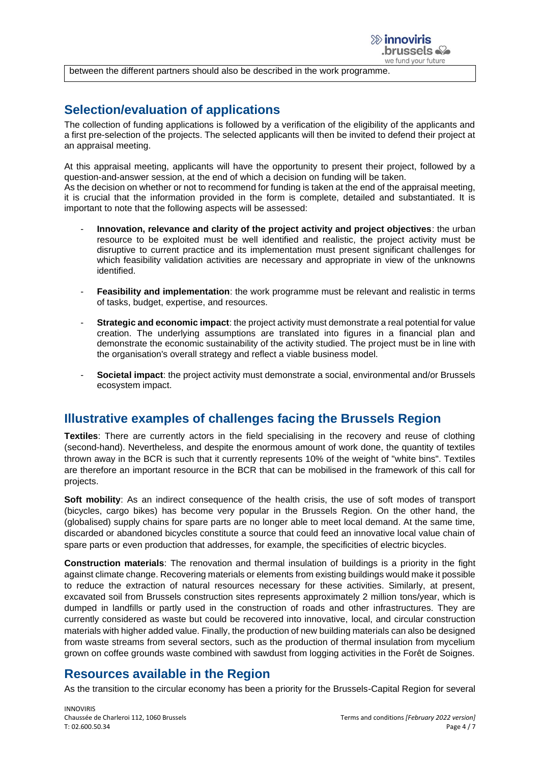

between the different partners should also be described in the work programme.

## **Selection/evaluation of applications**

The collection of funding applications is followed by a verification of the eligibility of the applicants and a first pre-selection of the projects. The selected applicants will then be invited to defend their project at an appraisal meeting.

At this appraisal meeting, applicants will have the opportunity to present their project, followed by a question-and-answer session, at the end of which a decision on funding will be taken.

As the decision on whether or not to recommend for funding is taken at the end of the appraisal meeting, it is crucial that the information provided in the form is complete, detailed and substantiated. It is important to note that the following aspects will be assessed:

- **Innovation, relevance and clarity of the project activity and project objectives**: the urban resource to be exploited must be well identified and realistic, the project activity must be disruptive to current practice and its implementation must present significant challenges for which feasibility validation activities are necessary and appropriate in view of the unknowns identified.
- **Feasibility and implementation**: the work programme must be relevant and realistic in terms of tasks, budget, expertise, and resources.
- **Strategic and economic impact**: the project activity must demonstrate a real potential for value creation. The underlying assumptions are translated into figures in a financial plan and demonstrate the economic sustainability of the activity studied. The project must be in line with the organisation's overall strategy and reflect a viable business model.
- **Societal impact**: the project activity must demonstrate a social, environmental and/or Brussels ecosystem impact.

### **Illustrative examples of challenges facing the Brussels Region**

**Textiles**: There are currently actors in the field specialising in the recovery and reuse of clothing (second-hand). Nevertheless, and despite the enormous amount of work done, the quantity of textiles thrown away in the BCR is such that it currently represents 10% of the weight of "white bins". Textiles are therefore an important resource in the BCR that can be mobilised in the framework of this call for projects.

**Soft mobility**: As an indirect consequence of the health crisis, the use of soft modes of transport (bicycles, cargo bikes) has become very popular in the Brussels Region. On the other hand, the (globalised) supply chains for spare parts are no longer able to meet local demand. At the same time, discarded or abandoned bicycles constitute a source that could feed an innovative local value chain of spare parts or even production that addresses, for example, the specificities of electric bicycles.

**Construction materials**: The renovation and thermal insulation of buildings is a priority in the fight against climate change. Recovering materials or elements from existing buildings would make it possible to reduce the extraction of natural resources necessary for these activities. Similarly, at present, excavated soil from Brussels construction sites represents approximately 2 million tons/year, which is dumped in landfills or partly used in the construction of roads and other infrastructures. They are currently considered as waste but could be recovered into innovative, local, and circular construction materials with higher added value. Finally, the production of new building materials can also be designed from waste streams from several sectors, such as the production of thermal insulation from mycelium grown on coffee grounds waste combined with sawdust from logging activities in the Forêt de Soignes.

## **Resources available in the Region**

As the transition to the circular economy has been a priority for the Brussels-Capital Region for several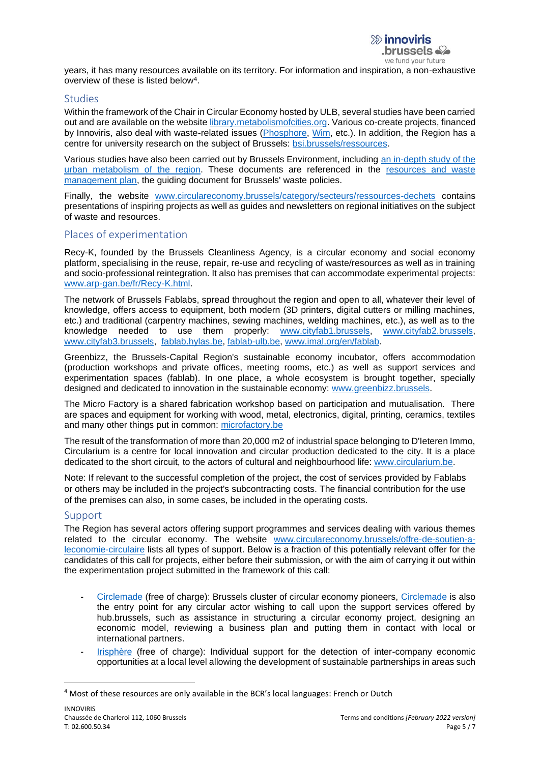years, it has many resources available on its territory. For information and inspiration, a non-exhaustive overview of these is listed below<sup>4</sup>.

### **Studies**

Within the framework of the Chair in Circular Economy hosted by ULB, several studies have been carried out and are available on the website [library.metabolismofcities.org.](library.metabolismofcities.org) Various co-create projects, financed by Innoviris, also deal with waste-related issues [\(Phosphore,](https://www.operation-phosphore.brussels/) [Wim,](https://www.cocreate.brussels/projet/wim/resultat-de-la-recherche/) etc.). In addition, the Region has a centre for university research on the subject of Brussels: [bsi.brussels/ressources.](https://bsi.brussels/ressources/)

Various studies have also been carried out by Brussels Environment, including [an in-depth study of the](https://environnement.brussels/lenvironnement-etat-des-lieux/en-detail/environnement-pour-une-ville-durable/metabolisme-urbain)  [urban metabolism of the region.](https://environnement.brussels/lenvironnement-etat-des-lieux/en-detail/environnement-pour-une-ville-durable/metabolisme-urbain) These documents are referenced in the [resources and waste](https://environnement.brussels/thematiques/dechets-ressources/action-de-la-region/plan-de-gestion-des-ressources-et-dechets)  [management plan,](https://environnement.brussels/thematiques/dechets-ressources/action-de-la-region/plan-de-gestion-des-ressources-et-dechets) the guiding document for Brussels' waste policies.

Finally, the website [www.circulareconomy.brussels/category/secteurs/ressources-dechets](http://www.circulareconomy.brussels/category/secteurs/ressources-dechets) contains presentations of inspiring projects as well as guides and newsletters on regional initiatives on the subject of waste and resources.

### Places of experimentation

Recy-K, founded by the Brussels Cleanliness Agency, is a circular economy and social economy platform, specialising in the reuse, repair, re-use and recycling of waste/resources as well as in training and socio-professional reintegration. It also has premises that can accommodate experimental projects: [www.arp-gan.be/fr/Recy-K.html.](http://www.arp-gan.be/fr/Recy-K.html)

The network of Brussels Fablabs, spread throughout the region and open to all, whatever their level of knowledge, offers access to equipment, both modern (3D printers, digital cutters or milling machines, etc.) and traditional (carpentry machines, sewing machines, welding machines, etc.), as well as to the knowledge needed to use them properly: [www.cityfab1.brussels,](http://www.cityfab1.brussels/) [www.cityfab2.brussels,](http://www.cityfab2.brussels/) [www.cityfab3.brussels,](http://www.cityfab3.brussels/) [fablab.hylas.be,](http://fablab.hylas.be/) [fablab-ulb.be,](http://fablab-ulb.be/) [www.imal.org/en/fablab.](http://www.imal.org/en/fablab)

Greenbizz, the Brussels-Capital Region's sustainable economy incubator, offers accommodation (production workshops and private offices, meeting rooms, etc.) as well as support services and experimentation spaces (fablab). In one place, a whole ecosystem is brought together, specially designed and dedicated to innovation in the sustainable economy: [www.greenbizz.brussels.](http://www.greenbizz.brussels/)

The Micro Factory is a shared fabrication workshop based on participation and mutualisation. There are spaces and equipment for working with wood, metal, electronics, digital, printing, ceramics, textiles and many other things put in common: [microfactory.be](https://microfactory.be/)

The result of the transformation of more than 20,000 m2 of industrial space belonging to D'Ieteren Immo, Circularium is a centre for local innovation and circular production dedicated to the city. It is a place dedicated to the short circuit, to the actors of cultural and neighbourhood life: [www.circularium.be.](http://www.circularium.be/)

Note: If relevant to the successful completion of the project, the cost of services provided by Fablabs or others may be included in the project's subcontracting costs. The financial contribution for the use of the premises can also, in some cases, be included in the operating costs.

### Support

The Region has several actors offering support programmes and services dealing with various themes related to the circular economy. The website [www.circulareconomy.brussels/offre-de-soutien-a](http://www.circulareconomy.brussels/offre-de-soutien-a-leconomie-circulaire)[leconomie-circulaire](http://www.circulareconomy.brussels/offre-de-soutien-a-leconomie-circulaire) lists all types of support. Below is a fraction of this potentially relevant offer for the candidates of this call for projects, either before their submission, or with the aim of carrying it out within the experimentation project submitted in the framework of this call:

- [Circlemade](http://circlemade.brussels/) (free of charge): Brussels cluster of circular economy pioneers, [Circlemade](mailto:circlemade@hub.brussels) is also the entry point for any circular actor wishing to call upon the support services offered by hub.brussels, such as assistance in structuring a circular economy project, designing an economic model, reviewing a business plan and putting them in contact with local or international partners.
- [Irisphère](https://www.irisphere.be/) (free of charge): Individual support for the detection of inter-company economic opportunities at a local level allowing the development of sustainable partnerships in areas such

<sup>4</sup> Most of these resources are only available in the BCR's local languages: French or Dutch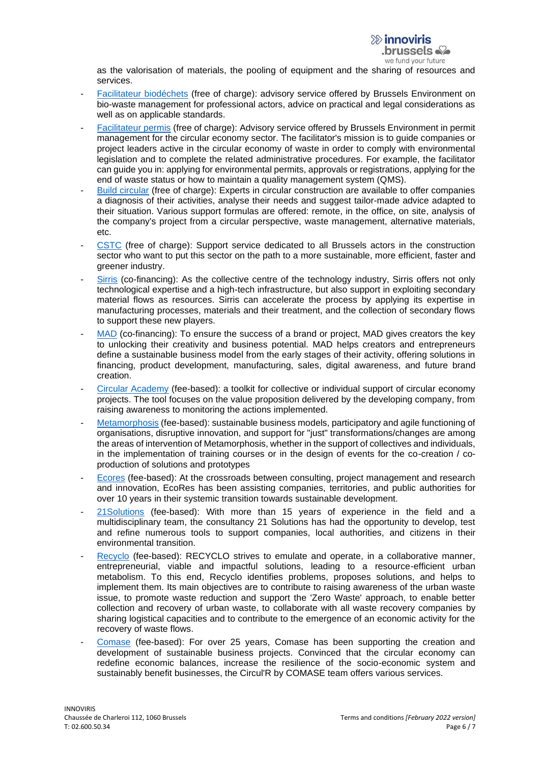as the valorisation of materials, the pooling of equipment and the sharing of resources and services.

- [Facilitateur biodéchets](https://environnement.brussels/thematiques/dechets-ressources/gestion-des-dechets/les-bons-gestes-par-type-de-dechet/dechets) (free of charge): advisory service offered by Brussels Environment on bio-waste management for professional actors, advice on practical and legal considerations as well as on applicable standards.
- [Facilitateur permis](https://environnement.brussels/thematiques/dechets-ressources/gestion-des-dechets/les-dechets-et-le-permis-denvironnement/le-facilitateur-permis-pour-le-secteur-de-leconomie-circulaire) (free of charge): Advisory service offered by Brussels Environment in permit management for the circular economy sector. The facilitator's mission is to guide companies or project leaders active in the circular economy of waste in order to comply with environmental legislation and to complete the related administrative procedures. For example, the facilitator can guide you in: applying for environmental permits, approvals or registrations, applying for the end of waste status or how to maintain a quality management system (QMS).
- [Build circular](https://www.buildcircular.brussels/accompagnement/nos-formules-d-accompagnement) (free of charge): Experts in circular construction are available to offer companies a diagnosis of their activities, analyse their needs and suggest tailor-made advice adapted to their situation. Various support formulas are offered: remote, in the office, on site, analysis of the company's project from a circular perspective, waste management, alternative materials, etc.
- [CSTC](https://www.cstc.be/homepage/index.cfm?cat=services&sub=innov_support&pag=13) (free of charge): Support service dedicated to all Brussels actors in the construction sector who want to put this sector on the path to a more sustainable, more efficient, faster and greener industry.
- [Sirris](https://www.sirris.be/fr/expertise/circular-economy) (co-financing): As the collective centre of the technology industry, Sirris offers not only technological expertise and a high-tech infrastructure, but also support in exploiting secondary material flows as resources. Sirris can accelerate the process by applying its expertise in manufacturing processes, materials and their treatment, and the collection of secondary flows to support these new players.
- [MAD](https://mad.brussels/fr/projects/nos-programmes-business) (co-financing): To ensure the success of a brand or project. MAD gives creators the key to unlocking their creativity and business potential. MAD helps creators and entrepreneurs define a sustainable business model from the early stages of their activity, offering solutions in financing, product development, manufacturing, sales, digital awareness, and future brand creation.
- [Circular Academy](http://www.circular.academy/our-services/) (fee-based): a toolkit for collective or individual support of circular economy projects. The tool focuses on the value proposition delivered by the developing company, from raising awareness to monitoring the actions implemented.
- [Metamorphosis](https://www.metamorphosis-consulting.com/) (fee-based): sustainable business models, participatory and agile functioning of organisations, disruptive innovation, and support for "just" transformations/changes are among the areas of intervention of Metamorphosis, whether in the support of collectives and individuals, in the implementation of training courses or in the design of events for the co-creation / coproduction of solutions and prototypes
- [Ecores](https://www.ecores.eu/) (fee-based): At the crossroads between consulting, project management and research and innovation, EcoRes has been assisting companies, territories, and public authorities for over 10 years in their systemic transition towards sustainable development.
- [21Solutions](https://www.21solutions.eu/job/gestion-environnementale/) (fee-based): With more than 15 years of experience in the field and a multidisciplinary team, the consultancy 21 Solutions has had the opportunity to develop, test and refine numerous tools to support companies, local authorities, and citizens in their environmental transition.
- [Recyclo](https://www.recyclo.coop/services) (fee-based): RECYCLO strives to emulate and operate, in a collaborative manner, entrepreneurial, viable and impactful solutions, leading to a resource-efficient urban metabolism. To this end, Recyclo identifies problems, proposes solutions, and helps to implement them. Its main objectives are to contribute to raising awareness of the urban waste issue, to promote waste reduction and support the 'Zero Waste' approach, to enable better collection and recovery of urban waste, to collaborate with all waste recovery companies by sharing logistical capacities and to contribute to the emergence of an economic activity for the recovery of waste flows.
- [Comase](http://www.groupecomase.com/comase/economie-circulaire.html) (fee-based): For over 25 years, Comase has been supporting the creation and development of sustainable business projects. Convinced that the circular economy can redefine economic balances, increase the resilience of the socio-economic system and sustainably benefit businesses, the Circul'R by COMASE team offers various services.